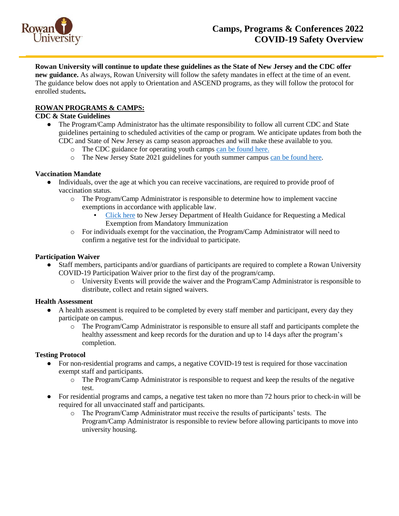

**Rowan University will continue to update these guidelines as the State of New Jersey and the CDC offer** 

**new guidance.** As always, Rowan University will follow the safety mandates in effect at the time of an event. The guidance below does not apply to Orientation and ASCEND programs, as they will follow the protocol for enrolled students**.** 

# **ROWAN PROGRAMS & CAMPS:**

# **CDC & State Guidelines**

- The Program/Camp Administrator has the ultimate responsibility to follow all current CDC and State guidelines pertaining to scheduled activities of the camp or program. We anticipate updates from both the CDC and State of New Jersey as camp season approaches and will make these available to you.
	- o The CDC guidance for operating youth camps [can be found here.](https://www.cdc.gov/coronavirus/2019-ncov/community/schools-childcare/summer-camps.html)
	- o The New Jersey State 2021 guidelines for youth summer campus [can be found here.](https://www.state.nj.us/health/legal/covid19/YouthSummerCampGuidance042821.pdf)

# **Vaccination Mandate**

- Individuals, over the age at which you can receive vaccinations, are required to provide proof of vaccination status.
	- o The Program/Camp Administrator is responsible to determine how to implement vaccine exemptions in accordance with applicable law.
		- [Click here](https://www.nj.gov/health/forms/imm-53.pdf) to New Jersey Department of Health Guidance for Requesting a Medical Exemption from Mandatory Immunization
	- o For individuals exempt for the vaccination, the Program/Camp Administrator will need to confirm a negative test for the individual to participate.

#### **Participation Waiver**

- Staff members, participants and/or guardians of participants are required to complete a Rowan University COVID-19 Participation Waiver prior to the first day of the program/camp.
	- o University Events will provide the waiver and the Program/Camp Administrator is responsible to distribute, collect and retain signed waivers.

#### **Health Assessment**

- A health assessment is required to be completed by every staff member and participant, every day they participate on campus.
	- o The Program/Camp Administrator is responsible to ensure all staff and participants complete the healthy assessment and keep records for the duration and up to 14 days after the program's completion.

#### **Testing Protocol**

- For non-residential programs and camps, a negative COVID-19 test is required for those vaccination exempt staff and participants.
	- o The Program/Camp Administrator is responsible to request and keep the results of the negative test.
- For residential programs and camps, a negative test taken no more than 72 hours prior to check-in will be required for all unvaccinated staff and participants.
	- o The Program/Camp Administrator must receive the results of participants' tests. The Program/Camp Administrator is responsible to review before allowing participants to move into university housing.